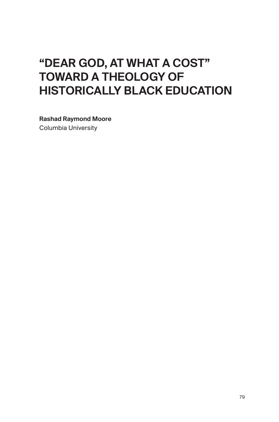# "DEAR GOD, AT WHAT A COST" TOWARD A THEOLOGY OF HISTORICALLY BLACK EDUCATION

Rashad Raymond Moore Columbia University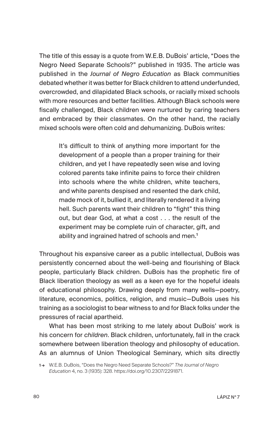The title of this essay is a quote from W.E.B. DuBois' article, "Does the Negro Need Separate Schools?" published in 1935. The article was published in the *Journal of Negro Education* as Black communities debated whether it was better for Black children to attend underfunded, overcrowded, and dilapidated Black schools, or racially mixed schools with more resources and better facilities. Although Black schools were fiscally challenged, Black children were nurtured by caring teachers and embraced by their classmates. On the other hand, the racially mixed schools were often cold and dehumanizing. DuBois writes:

It's difficult to think of anything more important for the development of a people than a proper training for their children, and yet I have repeatedly seen wise and loving colored parents take infinite pains to force their children into schools where the white children, white teachers, and white parents despised and resented the dark child, made mock of it, bullied it, and literally rendered it a living hell. Such parents want their children to "fight" this thing out, but dear God, at what a cost . . . the result of the experiment may be complete ruin of character, gift, and ability and ingrained hatred of schools and men.<sup>1</sup>

Throughout his expansive career as a public intellectual, DuBois was persistently concerned about the well-being and flourishing of Black people, particularly Black children. DuBois has the prophetic fire of Black liberation theology as well as a keen eye for the hopeful ideals of educational philosophy. Drawing deeply from many wells—poetry, literature, economics, politics, religion, and music—DuBois uses his training as a sociologist to bear witness to and for Black folks under the pressures of racial apartheid.

What has been most striking to me lately about DuBois' work is his concern for *children*. Black children, unfortunately, fall in the crack somewhere between liberation theology and philosophy of education. As an alumnus of Union Theological Seminary, which sits directly

<sup>1 →</sup> W.E.B. DuBois, "Does the Negro Need Separate Schools?" *The Journal of Negro Education* 4, no. 3 (1935): 328. https://doi.org/10.2307/2291871.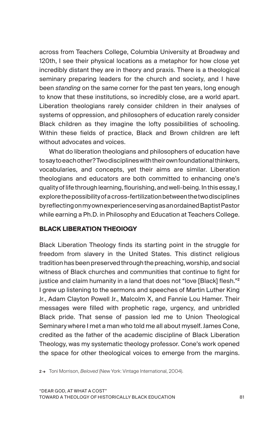across from Teachers College, Columbia University at Broadway and 120th, I see their physical locations as a metaphor for how close yet incredibly distant they are in theory and praxis. There is a theological seminary preparing leaders for the church and society, and I have been *standing* on the same corner for the past ten years, long enough to know that these institutions, so incredibly close, are a world apart. Liberation theologians rarely consider children in their analyses of systems of oppression, and philosophers of education rarely consider Black children as they imagine the lofty possibilities of schooling. Within these fields of practice, Black and Brown children are left without advocates and voices.

What do liberation theologians and philosophers of education have to say to each other? Two disciplines with their own foundational thinkers, vocabularies, and concepts, yet their aims are similar. Liberation theologians and educators are both committed to enhancing one's quality of life through learning, flourishing, and well-being. In this essay, I explore the possibility of a cross-fertilization between the two disciplines by reflecting on my own experience serving as an ordained Baptist Pastor while earning a Ph.D. in Philosophy and Education at Teachers College.

#### **BLACK LIBERATION THEOlOGY**

Black Liberation Theology finds its starting point in the struggle for freedom from slavery in the United States. This distinct religious tradition has been preserved through the preaching, worship, and social witness of Black churches and communities that continue to fight for justice and claim humanity in a land that does not "love [Black] flesh."<sup>2</sup> I grew up listening to the sermons and speeches of Martin Luther King Jr., Adam Clayton Powell Jr., Malcolm X, and Fannie Lou Hamer. Their messages were filled with prophetic rage, urgency, and unbridled Black pride. That sense of passion led me to Union Theological Seminary where I met a man who told me all about myself. James Cone, credited as the father of the academic discipline of Black Liberation Theology, was my systematic theology professor. Cone's work opened the space for other theological voices to emerge from the margins.

2 → Toni Morrison, *Beloved* (New York: Vintage International, 2004).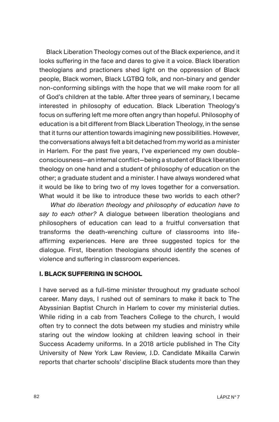Black Liberation Theology comes out of the Black experience, and it looks suffering in the face and dares to give it a voice. Black liberation theologians and practioners shed light on the oppression of Black people, Black women, Black LGTBQ folk, and non-binary and gender non-conforming siblings with the hope that we will make room for all of God's children at the table. After three years of seminary, I became interested in philosophy of education. Black Liberation Theology's focus on suffering left me more often angry than hopeful. Philosophy of education is a bit different from Black Liberation Theology, in the sense that it turns our attention towards imagining new possibilities. However, the conversations always felt a bit detached from my world as a minister in Harlem. For the past five years, I've experienced my own doubleconsciousness—an internal conflict—being a student of Black liberation theology on one hand and a student of philosophy of education on the other; a graduate student and a minister. I have always wondered what it would be like to bring two of my loves together for a conversation. What would it be like to introduce these two worlds to each other?

 *What do liberation theology and philosophy of education have to say to each other?* A dialogue between liberation theologians and philosophers of education can lead to a fruitful conversation that transforms the death-wrenching culture of classrooms into lifeaffirming experiences. Here are three suggested topics for the dialogue. First, liberation theologians should identify the scenes of violence and suffering in classroom experiences.

#### **I. BLACK SUFFERING IN SCHOOL**

I have served as a full-time minister throughout my graduate school career. Many days, I rushed out of seminars to make it back to The Abyssinian Baptist Church in Harlem to cover my ministerial duties. While riding in a cab from Teachers College to the church, I would often try to connect the dots between my studies and ministry while staring out the window looking at children leaving school in their Success Academy uniforms. In a 2018 article published in The City University of New York Law Review, J.D. Candidate Mikailla Carwin reports that charter schools' discipline Black students more than they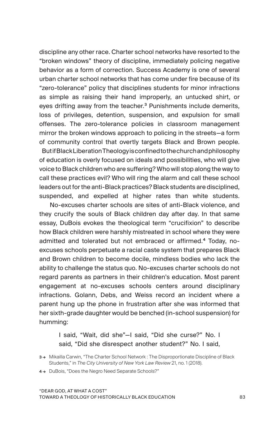discipline any other race. Charter school networks have resorted to the "broken windows" theory of discipline, immediately policing negative behavior as a form of correction. Success Academy is one of several urban charter school networks that has come under fire because of its "zero-tolerance" policy that disciplines students for minor infractions as simple as raising their hand improperly, an untucked shirt, or eyes drifting away from the teacher.<sup>3</sup> Punishments include demerits, loss of privileges, detention, suspension, and expulsion for small offenses. The zero-tolerance policies in classroom management mirror the broken windows approach to policing in the streets—a form of community control that overtly targets Black and Brown people. But if Black Liberation Theology is confined to the church and philosophy of education is overly focused on ideals and possibilities, who will give voice to Black children who are suffering? Who will stop along the way to call these practices evil? Who will ring the alarm and call these school leaders out for the anti-Black practices? Black students are disciplined, suspended, and expelled at higher rates than white students.

 No-excuses charter schools are sites of anti-Black violence, and they crucify the souls of Black children day after day. In that same essay, DuBois evokes the theological term "crucifixion" to describe how Black children were harshly mistreated in school where they were admitted and tolerated but not embraced or affirmed.4 Today, noexcuses schools perpetuate a racial caste system that prepares Black and Brown children to become docile, mindless bodies who lack the ability to challenge the status quo. No-excuses charter schools do not regard parents as partners in their children's education. Most parent engagement at no-excuses schools centers around disciplinary infractions. Golann, Debs, and Weiss record an incident where a parent hung up the phone in frustration after she was informed that her sixth-grade daughter would be benched (in-school suspension) for humming:

I said, "Wait, did she"—I said, "Did she curse?" No. I said, "Did she disrespect another student?" No. I said,

<sup>3→</sup> Mikailla Carwin, "The Charter School Network : The Disproportionate Discipline of Black Students," in *The City University of New York Law Review* 21, no. 1 (2018).

<sup>4 →</sup> DuBois, "Does the Negro Need Separate Schools?"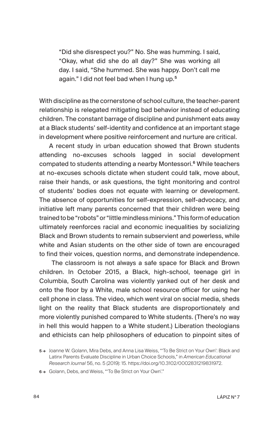"Did she disrespect you?" No. She was humming. I said, "Okay, what did she do all day?" She was working all day. I said, "She hummed. She was happy. Don't call me again." I did not feel bad when I hung up.<sup>5</sup>

With discipline as the cornerstone of school culture, the teacher-parent relationship is relegated mitigating bad behavior instead of educating children. The constant barrage of discipline and punishment eats away at a Black students' self-identity and confidence at an important stage in development where positive reinforcement and nurture are critical.

A recent study in urban education showed that Brown students attending no-excuses schools lagged in social development compated to students attending a nearby Montessori.<sup>6</sup> While teachers at no-excuses schools dictate when student could talk, move about, raise their hands, or ask questions, the tight monitoring and control of students' bodies does not equate with learning or development. The absence of opportunities for self-expression, self-advocacy, and initiative left many parents concerned that their children were being trained to be "robots" or "little mindless minions." This form of education ultimately reenforces racial and economic inequalities by socializing Black and Brown students to remain subservient and powerless, while white and Asian students on the other side of town are encouraged to find their voices, question norms, and demonstrate independence.

 The classroom is not always a safe space for Black and Brown children. In October 2015, a Black, high-school, teenage girl in Columbia, South Carolina was violently yanked out of her desk and onto the floor by a White, male school resource officer for using her cell phone in class. The video, which went viral on social media, sheds light on the reality that Black students are disproportionately and more violently punished compared to White students. (There's no way in hell this would happen to a White student.) Liberation theologians and ethicists can help philosophers of education to pinpoint sites of

<sup>5 →</sup> Joanne W. Golann, Mira Debs, and Anna Lisa Weiss, "'To Be Strict on Your Own': Black and Latinx Parents Evaluate Discipline in Urban Choice Schools," in *American Educational Research Journal* 56, no. 5 (2019): 15. https://doi.org/10.3102/0002831219831972.

<sup>6 →</sup> Golann, Debs, and Weiss, "'To Be Strict on Your Own'."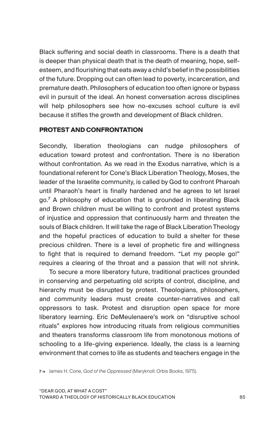Black suffering and social death in classrooms. There is a death that is deeper than physical death that is the death of meaning, hope, selfesteem, and flourishing that eats away a child's belief in the possibilities of the future. Dropping out can often lead to poverty, incarceration, and premature death. Philosophers of education too often ignore or bypass evil in pursuit of the ideal. An honest conversation across disciplines will help philosophers see how no-excuses school culture is evil because it stifles the growth and development of Black children.

#### **PROTEST AND CONFRONTATION**

Secondly, liberation theologians can nudge philosophers of education toward protest and confrontation. There is no liberation without confrontation. As we read in the Exodus narrative, which is a foundational referent for Cone's Black Liberation Theology, Moses, the leader of the Israelite community, is called by God to confront Pharoah until Pharaoh's heart is finally hardened and he agrees to let Israel go.<sup>7</sup> A philosophy of education that is grounded in liberating Black and Brown children must be willing to confront and protest systems of injustice and oppression that continuously harm and threaten the souls of Black children. It will take the rage of Black Liberation Theology and the hopeful practices of education to build a shelter for these precious children. There is a level of prophetic fire and willingness to fight that is required to demand freedom. "Let my people go!" requires a clearing of the throat and a passion that will not shrink.

 To secure a more liberatory future, traditional practices grounded in conserving and perpetuating old scripts of control, discipline, and hierarchy must be disrupted by protest. Theologians, philosophers, and community leaders must create counter-narratives and call oppressors to task. Protest and disruption open space for more liberatory learning. Eric DeMeulenaere's work on "disruptive school rituals" explores how introducing rituals from religious communities and theaters transforms classroom life from monotonous motions of schooling to a life-giving experience. Ideally, the class is a learning environment that comes to life as students and teachers engage in the

7 → James H. Cone, *God of the Oppressed* (Maryknoll: Orbis Books, 1975).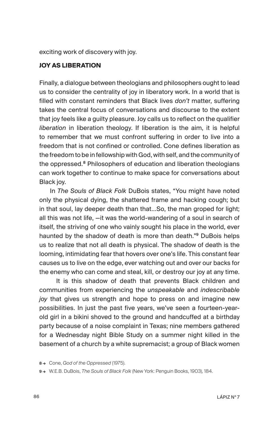exciting work of discovery with joy.

### **JOY AS LIBERATION**

Finally, a dialogue between theologians and philosophers ought to lead us to consider the centrality of joy in liberatory work. In a world that is filled with constant reminders that Black lives *don't* matter, suffering takes the central focus of conversations and discourse to the extent that joy feels like a guilty pleasure. Joy calls us to reflect on the qualifier *liberation* in liberation theology. If liberation is the aim, it is helpful to remember that we must confront suffering in order to live into a freedom that is not confined or controlled. Cone defines liberation as the freedom to be in fellowship with God, with self, and the community of the oppressed.<sup>8</sup> Philosophers of education and liberation theologians can work together to continue to make space for conversations about Black joy.

 In *The Souls of Black Folk* DuBois states, "You might have noted only the physical dying, the shattered frame and hacking cough; but in that soul, lay deeper death than that…So, the man groped for light; all this was not life, —it was the world-wandering of a soul in search of itself, the striving of one who vainly sought his place in the world, ever haunted by the shadow of death is more than death."<sup>9</sup> DuBois helps us to realize that not all death is physical. The shadow of death is the looming, intimidating fear that hovers over one's life. This constant fear causes us to live on the edge, ever watching out and over our backs for the enemy who can come and steal, kill, or destroy our joy at any time.

 It is this shadow of death that prevents Black children and communities from experiencing the *unspeakable* and *indescribable joy* that gives us strength and hope to press on and imagine new possibilities. In just the past five years, we've seen a fourteen-yearold girl in a bikini shoved to the ground and handcuffed at a birthday party because of a noise complaint in Texas; nine members gathered for a Wednesday night Bible Study on a summer night killed in the basement of a church by a white supremacist; a group of Black women

<sup>8 →</sup> Cone, *God of the Oppressed* (1975).

<sup>9 →</sup> W.E.B. DuBois, *The Souls of Black Folk* (New York: Penguin Books, 1903), 184.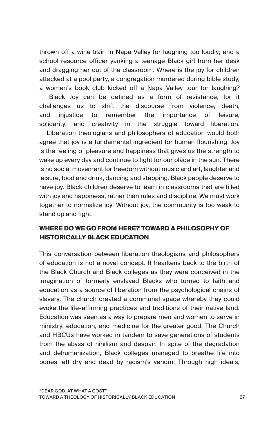thrown off a wine train in Napa Valley for laughing too loudly; and a school resource officer yanking a teenage Black girl from her desk and dragging her out of the classroom. Where is the joy for children attacked at a pool party, a congregation murdered during bible study, a women's book club kicked off a Napa Valley tour for laughing?

 Black Joy can be defined as a form of resistance, for it challenges us to shift the discourse from violence, death, and injustice to remember the importance of leisure, solidarity, and creativity in the struggle toward liberation.

 Liberation theologians and philosophers of education would both agree that joy is a fundamental ingredient for human flourishing. Joy is the feeling of pleasure and happiness that gives us the strength to wake up every day and continue to fight for our place in the sun. There is no social movement for freedom without music and art, laughter and leisure, food and drink, dancing and stepping. Black people deserve to have joy. Black children deserve to learn in classrooms that are filled with joy and happiness, rather than rules and discipline. We must work together to normalize joy. Without joy, the community is too weak to stand up and fight.

## **WHERE DO WE GO FROM HERE? TOWARD A PHILOSOPHY OF HISTORICALLY BLACK EDUCATION**

This conversation between liberation theologians and philosophers of education is not a novel concept. It hearkens back to the birth of the Black Church and Black colleges as they were conceived in the imagination of formerly enslaved Blacks who turned to faith and education as a source of liberation from the psychological chains of slavery. The church created a communal space whereby they could evoke the life-affirming practices and traditions of their native land. Education was seen as a way to prepare men and women to serve in ministry, education, and medicine for the greater good. The Church and HBCUs have worked in tandem to save generations of students from the abyss of nihilism and despair. In spite of the degradation and dehumanization, Black colleges managed to breathe life into bones left dry and dead by racism's venom. Through high ideals,